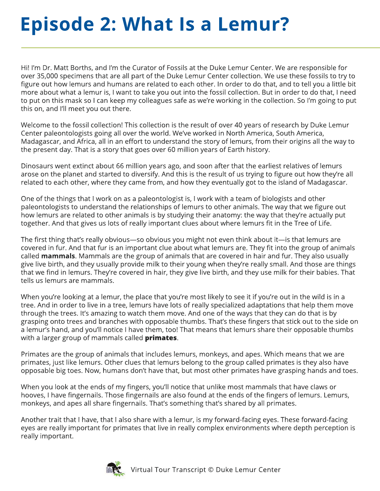## **Episode 2: What Is a Lemur?**

Hi! I'm Dr. Matt Borths, and I'm the Curator of Fossils at the Duke Lemur Center. We are responsible for over 35,000 specimens that are all part of the Duke Lemur Center collection. We use these fossils to try to figure out how lemurs and humans are related to each other. In order to do that, and to tell you a little bit more about what a lemur is, I want to take you out into the fossil collection. But in order to do that, I need to put on this mask so I can keep my colleagues safe as we're working in the collection. So I'm going to put this on, and I'll meet you out there.

Welcome to the fossil collection! This collection is the result of over 40 years of research by Duke Lemur Center paleontologists going all over the world. We've worked in North America, South America, Madagascar, and Africa, all in an effort to understand the story of lemurs, from their origins all the way to the present day. That is a story that goes over 60 million years of Earth history.

Dinosaurs went extinct about 66 million years ago, and soon after that the earliest relatives of lemurs arose on the planet and started to diversify. And this is the result of us trying to figure out how they're all related to each other, where they came from, and how they eventually got to the island of Madagascar.

One of the things that I work on as a paleontologist is, I work with a team of biologists and other paleontologists to understand the relationships of lemurs to other animals. The way that we figure out how lemurs are related to other animals is by studying their anatomy: the way that they're actually put together. And that gives us lots of really important clues about where lemurs fit in the Tree of Life.

The first thing that's really obvious—so obvious you might not even think about it—is that lemurs are covered in fur. And that fur is an important clue about what lemurs are. They fit into the group of animals called **mammals**. Mammals are the group of animals that are covered in hair and fur. They also usually give live birth, and they usually provide milk to their young when they're really small. And those are things that we find in lemurs. They're covered in hair, they give live birth, and they use milk for their babies. That tells us lemurs are mammals.

When you're looking at a lemur, the place that you're most likely to see it if you're out in the wild is in a tree. And in order to live in a tree, lemurs have lots of really specialized adaptations that help them move through the trees. It's amazing to watch them move. And one of the ways that they can do that is by grasping onto trees and branches with opposable thumbs. That's these fingers that stick out to the side on a lemur's hand, and you'll notice I have them, too! That means that lemurs share their opposable thumbs with a larger group of mammals called **primates**.

Primates are the group of animals that includes lemurs, monkeys, and apes. Which means that we are primates, just like lemurs. Other clues that lemurs belong to the group called primates is they also have opposable big toes. Now, humans don't have that, but most other primates have grasping hands and toes.

When you look at the ends of my fingers, you'll notice that unlike most mammals that have claws or hooves, I have fingernails. Those fingernails are also found at the ends of the fingers of lemurs. Lemurs, monkeys, and apes all share fingernails. That's something that's shared by all primates.

Another trait that I have, that I also share with a lemur, is my forward-facing eyes. These forward-facing eyes are really important for primates that live in really complex environments where depth perception is really important.

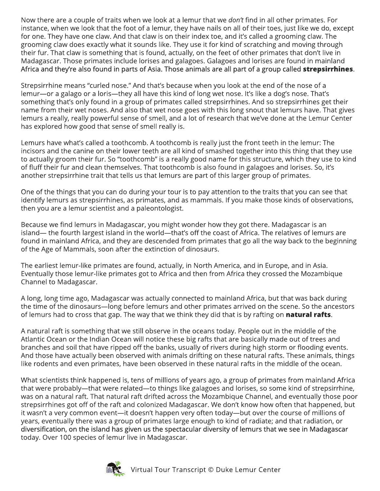Now there are a couple of traits when we look at a lemur that we *don't* find in all other primates. For instance, when we look that the foot of a lemur, they have nails on all of their toes, just like we do, except for one. They have one claw. And that claw is on their index toe, and it's called a grooming claw. The grooming claw does exactly what it sounds like. They use it for kind of scratching and moving through their fur. That claw is something that is found, actually, on the feet of other primates that don't live in Madagascar. Those primates include lorises and galagoes. Galagoes and lorises are found in mainland Africa and they're also found in parts of Asia. Those animals are all part of a group called **strepsirrhines**.

Strepsirrhine means "curled nose." And that's because when you look at the end of the nose of a lemur—or a galago or a loris—they all have this kind of long wet nose. It's like a dog's nose. That's something that's only found in a group of primates called strepsirrhines. And so strepsirrhines get their name from their wet noses. And also that wet nose goes with this long snout that lemurs have. That gives lemurs a really, really powerful sense of smell, and a lot of research that we've done at the Lemur Center has explored how good that sense of smell really is.

Lemurs have what's called a toothcomb. A toothcomb is really just the front teeth in the lemur: The incisors and the canine on their lower teeth are all kind of smashed together into this thing that they use to actually groom their fur. So "toothcomb" is a really good name for this structure, which they use to kind of fluff their fur and clean themselves. That toothcomb is also found in galagoes and lorises. So, it's another strepsirrhine trait that tells us that lemurs are part of this larger group of primates.

One of the things that you can do during your tour is to pay attention to the traits that you can see that identify lemurs as strepsirrhines, as primates, and as mammals. If you make those kinds of observations, then you are a lemur scientist and a paleontologist.

Because we find lemurs in Madagascar, you might wonder how they got there. Madagascar is an island— the fourth largest island in the world—that's off the coast of Africa. The relatives of lemurs are found in mainland Africa, and they are descended from primates that go all the way back to the beginning of the Age of Mammals, soon after the extinction of dinosaurs.

The earliest lemur-like primates are found, actually, in North America, and in Europe, and in Asia. Eventually those lemur-like primates got to Africa and then from Africa they crossed the Mozambique Channel to Madagascar.

A long, long time ago, Madagascar was actually connected to mainland Africa, but that was back during the time of the dinosaurs—long before lemurs and other primates arrived on the scene. So the ancestors of lemurs had to cross that gap. The way that we think they did that is by rafting on **natural rafts**.

A natural raft is something that we still observe in the oceans today. People out in the middle of the Atlantic Ocean or the Indian Ocean will notice these big rafts that are basically made out of trees and branches and soil that have ripped off the banks, usually of rivers during high storm or flooding events. And those have actually been observed with animals drifting on these natural rafts. These animals, things like rodents and even primates, have been observed in these natural rafts in the middle of the ocean.

What scientists think happened is, tens of millions of years ago, a group of primates from mainland Africa that were probably—that were related—to things like galagoes and lorises, so some kind of strepsirrhine, was on a natural raft. That natural raft drifted across the Mozambique Channel, and eventually those poor strepsirrhines got off of the raft and colonized Madagascar. We don't know how often that happened, but it wasn't a very common event—it doesn't happen very often today—but over the course of millions of years, eventually there was a group of primates large enough to kind of radiate; and that radiation, or diversification, on the island has given us the spectacular diversity of lemurs that we see in Madagascar today. Over 100 species of lemur live in Madagascar.